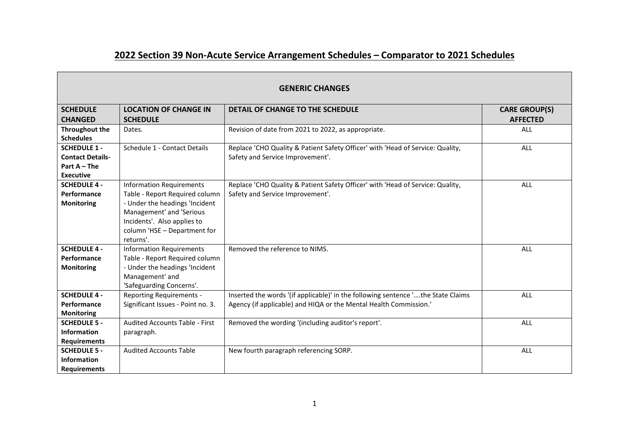## **2022 Section 39 Non-Acute Service Arrangement Schedules – Comparator to 2021 Schedules**

| <b>GENERIC CHANGES</b>                    |                                       |                                                                                  |                      |
|-------------------------------------------|---------------------------------------|----------------------------------------------------------------------------------|----------------------|
| <b>SCHEDULE</b>                           | <b>LOCATION OF CHANGE IN</b>          | DETAIL OF CHANGE TO THE SCHEDULE                                                 | <b>CARE GROUP(S)</b> |
| <b>CHANGED</b>                            | <b>SCHEDULE</b>                       |                                                                                  | <b>AFFECTED</b>      |
| <b>Throughout the</b><br><b>Schedules</b> | Dates.                                | Revision of date from 2021 to 2022, as appropriate.                              | <b>ALL</b>           |
| <b>SCHEDULE 1 -</b>                       | Schedule 1 - Contact Details          | Replace 'CHO Quality & Patient Safety Officer' with 'Head of Service: Quality,   | <b>ALL</b>           |
| <b>Contact Details-</b>                   |                                       | Safety and Service Improvement'.                                                 |                      |
| Part $A$ – The                            |                                       |                                                                                  |                      |
| <b>Executive</b>                          |                                       |                                                                                  |                      |
| <b>SCHEDULE 4 -</b>                       | <b>Information Requirements</b>       | Replace 'CHO Quality & Patient Safety Officer' with 'Head of Service: Quality,   | ALL                  |
| Performance                               | Table - Report Required column        | Safety and Service Improvement'.                                                 |                      |
| <b>Monitoring</b>                         | - Under the headings 'Incident        |                                                                                  |                      |
|                                           | Management' and 'Serious              |                                                                                  |                      |
|                                           | Incidents'. Also applies to           |                                                                                  |                      |
|                                           | column 'HSE - Department for          |                                                                                  |                      |
|                                           | returns'.                             |                                                                                  |                      |
| <b>SCHEDULE 4 -</b>                       | <b>Information Requirements</b>       | Removed the reference to NIMS.                                                   | ALL                  |
| Performance                               | Table - Report Required column        |                                                                                  |                      |
| <b>Monitoring</b>                         | - Under the headings 'Incident        |                                                                                  |                      |
|                                           | Management' and                       |                                                                                  |                      |
|                                           | 'Safeguarding Concerns'.              |                                                                                  |                      |
| <b>SCHEDULE 4 -</b>                       | <b>Reporting Requirements -</b>       | Inserted the words '(if applicable)' in the following sentence 'the State Claims | <b>ALL</b>           |
| Performance                               | Significant Issues - Point no. 3.     | Agency (if applicable) and HIQA or the Mental Health Commission.'                |                      |
| <b>Monitoring</b>                         |                                       |                                                                                  |                      |
| <b>SCHEDULE 5 -</b>                       | <b>Audited Accounts Table - First</b> | Removed the wording '(including auditor's report'.                               | ALL                  |
| <b>Information</b>                        | paragraph.                            |                                                                                  |                      |
| <b>Requirements</b>                       |                                       |                                                                                  |                      |
| <b>SCHEDULE 5 -</b>                       | <b>Audited Accounts Table</b>         | New fourth paragraph referencing SORP.                                           | ALL                  |
| <b>Information</b>                        |                                       |                                                                                  |                      |
| <b>Requirements</b>                       |                                       |                                                                                  |                      |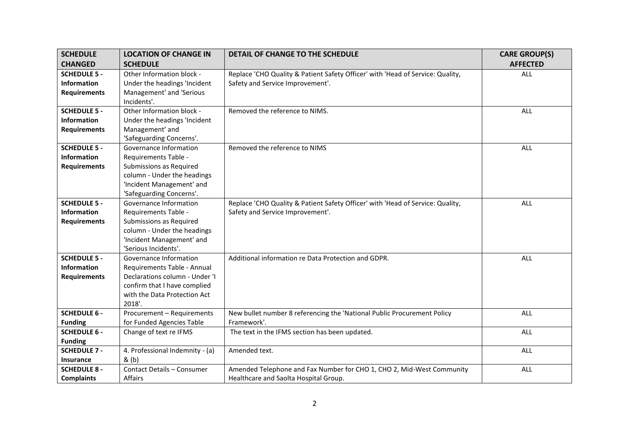| <b>SCHEDULE</b>     | <b>LOCATION OF CHANGE IN</b>    | <b>DETAIL OF CHANGE TO THE SCHEDULE</b>                                        | <b>CARE GROUP(S)</b> |
|---------------------|---------------------------------|--------------------------------------------------------------------------------|----------------------|
| <b>CHANGED</b>      | <b>SCHEDULE</b>                 |                                                                                | <b>AFFECTED</b>      |
| <b>SCHEDULE 5 -</b> | Other Information block -       | Replace 'CHO Quality & Patient Safety Officer' with 'Head of Service: Quality, | ALL                  |
| <b>Information</b>  | Under the headings 'Incident    | Safety and Service Improvement'.                                               |                      |
| <b>Requirements</b> | Management' and 'Serious        |                                                                                |                      |
|                     | Incidents'.                     |                                                                                |                      |
| <b>SCHEDULE 5 -</b> | Other Information block -       | Removed the reference to NIMS.                                                 | <b>ALL</b>           |
| <b>Information</b>  | Under the headings 'Incident    |                                                                                |                      |
| <b>Requirements</b> | Management' and                 |                                                                                |                      |
|                     | 'Safeguarding Concerns'.        |                                                                                |                      |
| <b>SCHEDULE 5 -</b> | Governance Information          | Removed the reference to NIMS                                                  | ALL                  |
| <b>Information</b>  | Requirements Table -            |                                                                                |                      |
| <b>Requirements</b> | Submissions as Required         |                                                                                |                      |
|                     | column - Under the headings     |                                                                                |                      |
|                     | 'Incident Management' and       |                                                                                |                      |
|                     | 'Safeguarding Concerns'.        |                                                                                |                      |
| <b>SCHEDULE 5 -</b> | Governance Information          | Replace 'CHO Quality & Patient Safety Officer' with 'Head of Service: Quality, | <b>ALL</b>           |
| <b>Information</b>  | Requirements Table -            | Safety and Service Improvement'.                                               |                      |
| <b>Requirements</b> | Submissions as Required         |                                                                                |                      |
|                     | column - Under the headings     |                                                                                |                      |
|                     | 'Incident Management' and       |                                                                                |                      |
|                     | 'Serious Incidents'.            |                                                                                |                      |
| <b>SCHEDULE 5 -</b> | Governance Information          | Additional information re Data Protection and GDPR.                            | <b>ALL</b>           |
| <b>Information</b>  | Requirements Table - Annual     |                                                                                |                      |
| <b>Requirements</b> | Declarations column - Under 'I  |                                                                                |                      |
|                     | confirm that I have complied    |                                                                                |                      |
|                     | with the Data Protection Act    |                                                                                |                      |
|                     | 2018'.                          |                                                                                |                      |
| <b>SCHEDULE 6 -</b> | Procurement - Requirements      | New bullet number 8 referencing the 'National Public Procurement Policy        | ALL                  |
| <b>Funding</b>      | for Funded Agencies Table       | Framework'.                                                                    |                      |
| <b>SCHEDULE 6 -</b> | Change of text re IFMS          | The text in the IFMS section has been updated.                                 | ALL                  |
| <b>Funding</b>      |                                 |                                                                                |                      |
| <b>SCHEDULE 7 -</b> | 4. Professional Indemnity - (a) | Amended text.                                                                  | ALL                  |
| <b>Insurance</b>    | & (b)                           |                                                                                |                      |
| <b>SCHEDULE 8 -</b> | Contact Details - Consumer      | Amended Telephone and Fax Number for CHO 1, CHO 2, Mid-West Community          | <b>ALL</b>           |
| <b>Complaints</b>   | Affairs                         | Healthcare and Saolta Hospital Group.                                          |                      |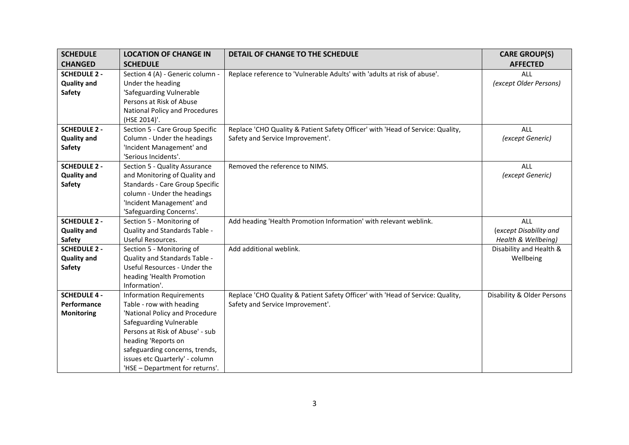| <b>SCHEDULE</b>                     | <b>LOCATION OF CHANGE IN</b>                       | DETAIL OF CHANGE TO THE SCHEDULE                                               | <b>CARE GROUP(S)</b>                          |
|-------------------------------------|----------------------------------------------------|--------------------------------------------------------------------------------|-----------------------------------------------|
| <b>CHANGED</b>                      | <b>SCHEDULE</b>                                    |                                                                                | <b>AFFECTED</b>                               |
| <b>SCHEDULE 2 -</b>                 | Section 4 (A) - Generic column -                   | Replace reference to 'Vulnerable Adults' with 'adults at risk of abuse'.       | <b>ALL</b>                                    |
| <b>Quality and</b>                  | Under the heading                                  |                                                                                | (except Older Persons)                        |
| <b>Safety</b>                       | 'Safeguarding Vulnerable                           |                                                                                |                                               |
|                                     | Persons at Risk of Abuse                           |                                                                                |                                               |
|                                     | National Policy and Procedures                     |                                                                                |                                               |
|                                     | (HSE 2014)'.                                       |                                                                                |                                               |
| <b>SCHEDULE 2 -</b>                 | Section 5 - Care Group Specific                    | Replace 'CHO Quality & Patient Safety Officer' with 'Head of Service: Quality, | <b>ALL</b>                                    |
| <b>Quality and</b>                  | Column - Under the headings                        | Safety and Service Improvement'.                                               | (except Generic)                              |
| <b>Safety</b>                       | 'Incident Management' and                          |                                                                                |                                               |
|                                     | 'Serious Incidents'.                               |                                                                                |                                               |
| <b>SCHEDULE 2 -</b>                 | Section 5 - Quality Assurance                      | Removed the reference to NIMS.                                                 | <b>ALL</b>                                    |
| <b>Quality and</b>                  | and Monitoring of Quality and                      |                                                                                | (except Generic)                              |
| <b>Safety</b>                       | Standards - Care Group Specific                    |                                                                                |                                               |
|                                     | column - Under the headings                        |                                                                                |                                               |
|                                     | 'Incident Management' and                          |                                                                                |                                               |
|                                     | 'Safeguarding Concerns'.                           |                                                                                |                                               |
| <b>SCHEDULE 2 -</b>                 | Section 5 - Monitoring of                          | Add heading 'Health Promotion Information' with relevant weblink.              | ALL                                           |
| <b>Quality and</b><br><b>Safety</b> | Quality and Standards Table -<br>Useful Resources. |                                                                                | (except Disability and<br>Health & Wellbeing) |
| <b>SCHEDULE 2 -</b>                 | Section 5 - Monitoring of                          | Add additional weblink.                                                        | Disability and Health &                       |
| <b>Quality and</b>                  | Quality and Standards Table -                      |                                                                                | Wellbeing                                     |
| <b>Safety</b>                       | Useful Resources - Under the                       |                                                                                |                                               |
|                                     | heading 'Health Promotion                          |                                                                                |                                               |
|                                     | Information'.                                      |                                                                                |                                               |
| <b>SCHEDULE 4 -</b>                 | <b>Information Requirements</b>                    | Replace 'CHO Quality & Patient Safety Officer' with 'Head of Service: Quality, | Disability & Older Persons                    |
| Performance                         | Table - row with heading                           | Safety and Service Improvement'.                                               |                                               |
| <b>Monitoring</b>                   | 'National Policy and Procedure                     |                                                                                |                                               |
|                                     | Safeguarding Vulnerable                            |                                                                                |                                               |
|                                     | Persons at Risk of Abuse' - sub                    |                                                                                |                                               |
|                                     | heading 'Reports on                                |                                                                                |                                               |
|                                     | safeguarding concerns, trends,                     |                                                                                |                                               |
|                                     | issues etc Quarterly' - column                     |                                                                                |                                               |
|                                     | 'HSE - Department for returns'.                    |                                                                                |                                               |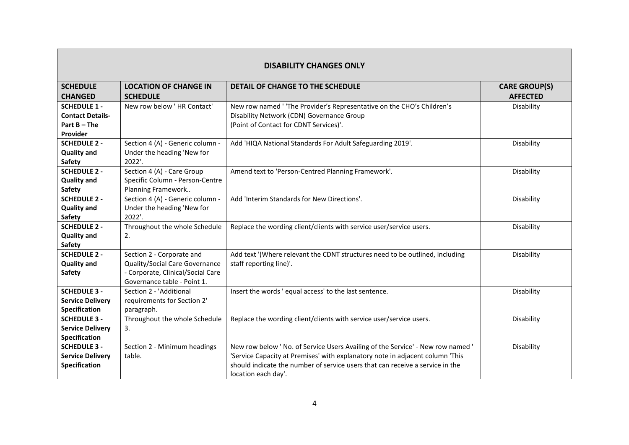| <b>DISABILITY CHANGES ONLY</b>                                               |                                                                                                                                 |                                                                                                                                                                                                                                                                          |                                         |
|------------------------------------------------------------------------------|---------------------------------------------------------------------------------------------------------------------------------|--------------------------------------------------------------------------------------------------------------------------------------------------------------------------------------------------------------------------------------------------------------------------|-----------------------------------------|
| <b>SCHEDULE</b><br><b>CHANGED</b>                                            | <b>LOCATION OF CHANGE IN</b><br><b>SCHEDULE</b>                                                                                 | DETAIL OF CHANGE TO THE SCHEDULE                                                                                                                                                                                                                                         | <b>CARE GROUP(S)</b><br><b>AFFECTED</b> |
| <b>SCHEDULE 1 -</b><br><b>Contact Details-</b><br>Part $B$ – The<br>Provider | New row below 'HR Contact'                                                                                                      | New row named ' 'The Provider's Representative on the CHO's Children's<br>Disability Network (CDN) Governance Group<br>(Point of Contact for CDNT Services)'.                                                                                                            | Disability                              |
| <b>SCHEDULE 2 -</b><br><b>Quality and</b><br><b>Safety</b>                   | Section 4 (A) - Generic column -<br>Under the heading 'New for<br>2022'.                                                        | Add 'HIQA National Standards For Adult Safeguarding 2019'.                                                                                                                                                                                                               | Disability                              |
| <b>SCHEDULE 2 -</b><br><b>Quality and</b><br><b>Safety</b>                   | Section 4 (A) - Care Group<br>Specific Column - Person-Centre<br>Planning Framework                                             | Amend text to 'Person-Centred Planning Framework'.                                                                                                                                                                                                                       | Disability                              |
| <b>SCHEDULE 2 -</b><br><b>Quality and</b><br>Safety                          | Section 4 (A) - Generic column -<br>Under the heading 'New for<br>2022'.                                                        | Add 'Interim Standards for New Directions'.                                                                                                                                                                                                                              | Disability                              |
| <b>SCHEDULE 2 -</b><br><b>Quality and</b><br><b>Safety</b>                   | Throughout the whole Schedule<br>2.                                                                                             | Replace the wording client/clients with service user/service users.                                                                                                                                                                                                      | Disability                              |
| <b>SCHEDULE 2 -</b><br><b>Quality and</b><br><b>Safety</b>                   | Section 2 - Corporate and<br>Quality/Social Care Governance<br>- Corporate, Clinical/Social Care<br>Governance table - Point 1. | Add text '(Where relevant the CDNT structures need to be outlined, including<br>staff reporting line)'.                                                                                                                                                                  | Disability                              |
| <b>SCHEDULE 3 -</b><br><b>Service Delivery</b><br><b>Specification</b>       | Section 2 - 'Additional<br>requirements for Section 2'<br>paragraph.                                                            | Insert the words 'equal access' to the last sentence.                                                                                                                                                                                                                    | Disability                              |
| <b>SCHEDULE 3 -</b><br><b>Service Delivery</b><br><b>Specification</b>       | Throughout the whole Schedule<br>3.                                                                                             | Replace the wording client/clients with service user/service users.                                                                                                                                                                                                      | Disability                              |
| <b>SCHEDULE 3 -</b><br><b>Service Delivery</b><br><b>Specification</b>       | Section 2 - Minimum headings<br>table.                                                                                          | New row below ' No. of Service Users Availing of the Service' - New row named '<br>'Service Capacity at Premises' with explanatory note in adjacent column 'This<br>should indicate the number of service users that can receive a service in the<br>location each day'. | Disability                              |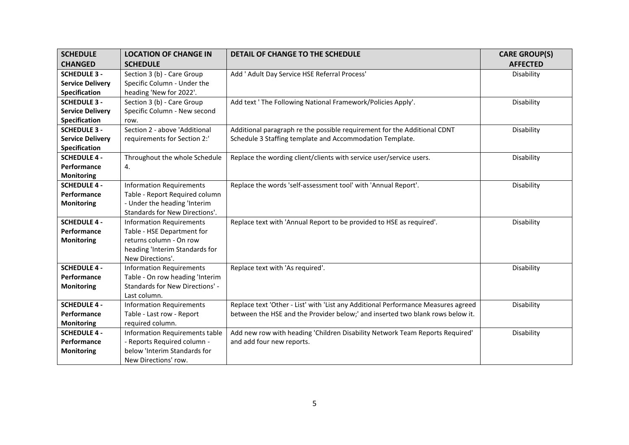| <b>SCHEDULE</b>         | <b>LOCATION OF CHANGE IN</b>          | DETAIL OF CHANGE TO THE SCHEDULE                                                  | <b>CARE GROUP(S)</b> |
|-------------------------|---------------------------------------|-----------------------------------------------------------------------------------|----------------------|
| <b>CHANGED</b>          | <b>SCHEDULE</b>                       |                                                                                   | <b>AFFECTED</b>      |
| <b>SCHEDULE 3 -</b>     | Section 3 (b) - Care Group            | Add ' Adult Day Service HSE Referral Process'                                     | Disability           |
| <b>Service Delivery</b> | Specific Column - Under the           |                                                                                   |                      |
| Specification           | heading 'New for 2022'.               |                                                                                   |                      |
| <b>SCHEDULE 3 -</b>     | Section 3 (b) - Care Group            | Add text ' The Following National Framework/Policies Apply'.                      | Disability           |
| <b>Service Delivery</b> | Specific Column - New second          |                                                                                   |                      |
| Specification           | row.                                  |                                                                                   |                      |
| <b>SCHEDULE 3 -</b>     | Section 2 - above 'Additional         | Additional paragraph re the possible requirement for the Additional CDNT          | Disability           |
| <b>Service Delivery</b> | requirements for Section 2:'          | Schedule 3 Staffing template and Accommodation Template.                          |                      |
| Specification           |                                       |                                                                                   |                      |
| <b>SCHEDULE 4 -</b>     | Throughout the whole Schedule         | Replace the wording client/clients with service user/service users.               | Disability           |
| Performance             | 4.                                    |                                                                                   |                      |
| <b>Monitoring</b>       |                                       |                                                                                   |                      |
| <b>SCHEDULE 4 -</b>     | <b>Information Requirements</b>       | Replace the words 'self-assessment tool' with 'Annual Report'.                    | Disability           |
| Performance             | Table - Report Required column        |                                                                                   |                      |
| <b>Monitoring</b>       | - Under the heading 'Interim          |                                                                                   |                      |
|                         | Standards for New Directions'.        |                                                                                   |                      |
| <b>SCHEDULE 4 -</b>     | <b>Information Requirements</b>       | Replace text with 'Annual Report to be provided to HSE as required'.              | Disability           |
| Performance             | Table - HSE Department for            |                                                                                   |                      |
| <b>Monitoring</b>       | returns column - On row               |                                                                                   |                      |
|                         | heading 'Interim Standards for        |                                                                                   |                      |
|                         | New Directions'.                      |                                                                                   |                      |
| <b>SCHEDULE 4 -</b>     | <b>Information Requirements</b>       | Replace text with 'As required'.                                                  | Disability           |
| Performance             | Table - On row heading 'Interim       |                                                                                   |                      |
| <b>Monitoring</b>       | Standards for New Directions' -       |                                                                                   |                      |
|                         | Last column.                          |                                                                                   |                      |
| <b>SCHEDULE 4 -</b>     | <b>Information Requirements</b>       | Replace text 'Other - List' with 'List any Additional Performance Measures agreed | Disability           |
| Performance             | Table - Last row - Report             | between the HSE and the Provider below;' and inserted two blank rows below it.    |                      |
| <b>Monitoring</b>       | required column.                      |                                                                                   |                      |
| <b>SCHEDULE 4 -</b>     | <b>Information Requirements table</b> | Add new row with heading 'Children Disability Network Team Reports Required'      | Disability           |
| Performance             | - Reports Required column -           | and add four new reports.                                                         |                      |
| <b>Monitoring</b>       | below 'Interim Standards for          |                                                                                   |                      |
|                         | New Directions' row.                  |                                                                                   |                      |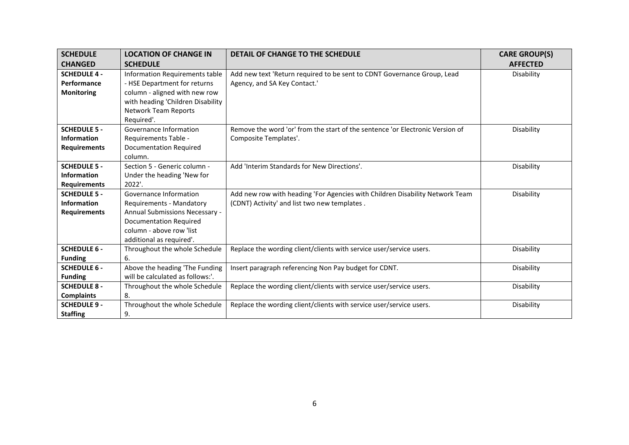| <b>SCHEDULE</b>     | <b>LOCATION OF CHANGE IN</b>      | DETAIL OF CHANGE TO THE SCHEDULE                                              | <b>CARE GROUP(S)</b> |
|---------------------|-----------------------------------|-------------------------------------------------------------------------------|----------------------|
| <b>CHANGED</b>      | <b>SCHEDULE</b>                   |                                                                               | <b>AFFECTED</b>      |
| <b>SCHEDULE 4 -</b> | Information Requirements table    | Add new text 'Return required to be sent to CDNT Governance Group, Lead       | Disability           |
| Performance         | - HSE Department for returns      | Agency, and SA Key Contact.'                                                  |                      |
| <b>Monitoring</b>   | column - aligned with new row     |                                                                               |                      |
|                     | with heading 'Children Disability |                                                                               |                      |
|                     | Network Team Reports              |                                                                               |                      |
|                     | Required'.                        |                                                                               |                      |
| <b>SCHEDULE 5 -</b> | Governance Information            | Remove the word 'or' from the start of the sentence 'or Electronic Version of | Disability           |
| <b>Information</b>  | Requirements Table -              | Composite Templates'.                                                         |                      |
| <b>Requirements</b> | <b>Documentation Required</b>     |                                                                               |                      |
|                     | column.                           |                                                                               |                      |
| <b>SCHEDULE 5 -</b> | Section 5 - Generic column -      | Add 'Interim Standards for New Directions'.                                   | Disability           |
| <b>Information</b>  | Under the heading 'New for        |                                                                               |                      |
| <b>Requirements</b> | 2022'.                            |                                                                               |                      |
| <b>SCHEDULE 5 -</b> | Governance Information            | Add new row with heading 'For Agencies with Children Disability Network Team  | Disability           |
| <b>Information</b>  | Requirements - Mandatory          | (CDNT) Activity' and list two new templates.                                  |                      |
| <b>Requirements</b> | Annual Submissions Necessary -    |                                                                               |                      |
|                     | <b>Documentation Required</b>     |                                                                               |                      |
|                     | column - above row 'list          |                                                                               |                      |
|                     | additional as required'.          |                                                                               |                      |
| <b>SCHEDULE 6 -</b> | Throughout the whole Schedule     | Replace the wording client/clients with service user/service users.           | Disability           |
| <b>Funding</b>      | 6.                                |                                                                               |                      |
| <b>SCHEDULE 6 -</b> | Above the heading 'The Funding    | Insert paragraph referencing Non Pay budget for CDNT.                         | Disability           |
| <b>Funding</b>      | will be calculated as follows:'.  |                                                                               |                      |
| <b>SCHEDULE 8 -</b> | Throughout the whole Schedule     | Replace the wording client/clients with service user/service users.           | Disability           |
| <b>Complaints</b>   | 8.                                |                                                                               |                      |
| <b>SCHEDULE 9 -</b> | Throughout the whole Schedule     | Replace the wording client/clients with service user/service users.           | Disability           |
| <b>Staffing</b>     | 9.                                |                                                                               |                      |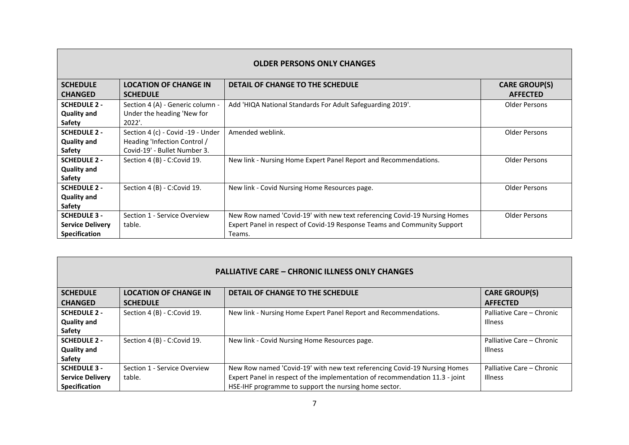| <b>OLDER PERSONS ONLY CHANGES</b> |                                   |                                                                           |                      |  |
|-----------------------------------|-----------------------------------|---------------------------------------------------------------------------|----------------------|--|
| <b>SCHEDULE</b>                   | <b>LOCATION OF CHANGE IN</b>      | DETAIL OF CHANGE TO THE SCHEDULE                                          | <b>CARE GROUP(S)</b> |  |
| <b>CHANGED</b>                    | <b>SCHEDULE</b>                   |                                                                           | <b>AFFECTED</b>      |  |
| <b>SCHEDULE 2 -</b>               | Section 4 (A) - Generic column -  | Add 'HIQA National Standards For Adult Safeguarding 2019'.                | Older Persons        |  |
| <b>Quality and</b>                | Under the heading 'New for        |                                                                           |                      |  |
| Safety                            | 2022'.                            |                                                                           |                      |  |
| <b>SCHEDULE 2 -</b>               | Section 4 (c) - Covid -19 - Under | Amended weblink.                                                          | Older Persons        |  |
| <b>Quality and</b>                | Heading 'Infection Control /      |                                                                           |                      |  |
| Safety                            | Covid-19' - Bullet Number 3.      |                                                                           |                      |  |
| <b>SCHEDULE 2 -</b>               | Section 4 (B) - C:Covid 19.       | New link - Nursing Home Expert Panel Report and Recommendations.          | <b>Older Persons</b> |  |
| <b>Quality and</b>                |                                   |                                                                           |                      |  |
| Safety                            |                                   |                                                                           |                      |  |
| <b>SCHEDULE 2 -</b>               | Section 4 (B) - C:Covid 19.       | New link - Covid Nursing Home Resources page.                             | Older Persons        |  |
| <b>Quality and</b>                |                                   |                                                                           |                      |  |
| Safety                            |                                   |                                                                           |                      |  |
| <b>SCHEDULE 3 -</b>               | Section 1 - Service Overview      | New Row named 'Covid-19' with new text referencing Covid-19 Nursing Homes | Older Persons        |  |
| <b>Service Delivery</b>           | table.                            | Expert Panel in respect of Covid-19 Response Teams and Community Support  |                      |  |
| <b>Specification</b>              |                                   | Teams.                                                                    |                      |  |

| <b>PALLIATIVE CARE – CHRONIC ILLNESS ONLY CHANGES</b> |                              |                                                                              |                           |
|-------------------------------------------------------|------------------------------|------------------------------------------------------------------------------|---------------------------|
| <b>SCHEDULE</b>                                       | <b>LOCATION OF CHANGE IN</b> | DETAIL OF CHANGE TO THE SCHEDULE                                             | <b>CARE GROUP(S)</b>      |
| <b>CHANGED</b>                                        | <b>SCHEDULE</b>              |                                                                              | <b>AFFECTED</b>           |
| <b>SCHEDULE 2 -</b>                                   | Section 4 (B) - C:Covid 19.  | New link - Nursing Home Expert Panel Report and Recommendations.             | Palliative Care - Chronic |
| <b>Quality and</b>                                    |                              |                                                                              | <b>Illness</b>            |
| Safety                                                |                              |                                                                              |                           |
| <b>SCHEDULE 2 -</b>                                   | Section 4 (B) - C:Covid 19.  | New link - Covid Nursing Home Resources page.                                | Palliative Care - Chronic |
| <b>Quality and</b>                                    |                              |                                                                              | <b>Illness</b>            |
| <b>Safety</b>                                         |                              |                                                                              |                           |
| <b>SCHEDULE 3 -</b>                                   | Section 1 - Service Overview | New Row named 'Covid-19' with new text referencing Covid-19 Nursing Homes    | Palliative Care - Chronic |
| <b>Service Delivery</b>                               | table.                       | Expert Panel in respect of the implementation of recommendation 11.3 - joint | <b>Illness</b>            |
| <b>Specification</b>                                  |                              | HSE-IHF programme to support the nursing home sector.                        |                           |